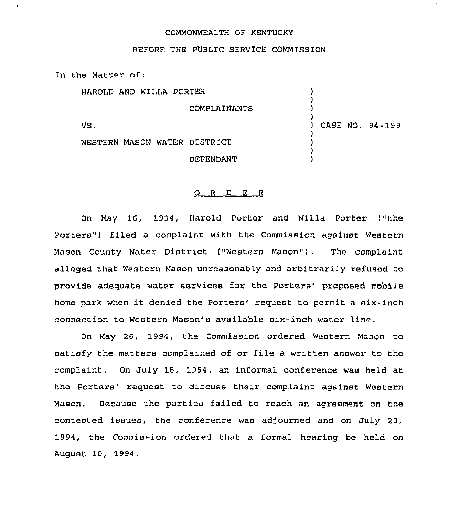## COMMONWEALTH OF KENTUCKY

## BEFORE THE PUBLIC SERVICE COMMISSION

In the Matter of:

| HAROLD AND WILLA PORTER |                              |                 |  |
|-------------------------|------------------------------|-----------------|--|
|                         | COMPLAINANTS                 |                 |  |
| VS.                     |                              | CASE NO. 94-199 |  |
|                         | WESTERN MASON WATER DISTRICT |                 |  |
|                         | DEFENDANT                    |                 |  |

### O R D E R

On May 16, 1994, Harold Porter and Willa Porter ("the Porters") filed a complaint with the Commission against Western Mason County Water District ("Western Mason"). The complaint alleged that Western Mason unreasonably and arbitrarily refused to provide adequate water services for the Porters' proposed mobile home park when it denied the Porters' request to permit a six-inch connection to Western Mason's available six-inch water line.

On May 26, 1994, the Commission ordered Western Mason to satisfy the matters complained of or file <sup>a</sup> written answer to the complaint. On July 18, 1994, an informal conference was held at the Porters' request to discuss their complaint against Western Mason. Because the parties failed to reach an agreement on the contested issues, the conference was adjourned and on July 20, 1994, the Commission ordered that a formal hearing be held on August 10, 1994,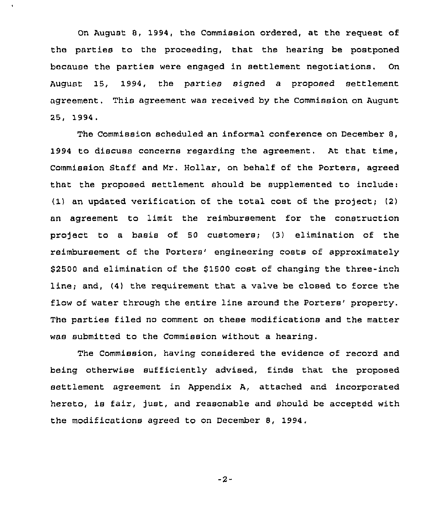On August 8, 1994, the Commission ordered, at the request of the parties to the proceeding, that the hearing be postponed because the parties were engaged in settlement negotiations. On August 15, 1994, the parties signed a proposed settlement agreement. This agreement was received by the Commission on August 25, '1994.

The Commission scheduled an informal conference on December 8, 1994 to discuss concerns regarding the agreement. At that time, Commission Staff and Mr. Hollar, on behalf of the Porters, agreed that the pxoposed settlement should be supplemented to include: (1) an updated verification of the total cost of the project;  $(2)$ an agreement to limit the reimbursement for the construction project to a basis of 50 customers; (3) elimination of the reimbursement of the Porters' engineering costs of approximately \$2500 and elimination of the \$1500 cost of changing the three-inch line; and, (4) the requirement that a valve be closed to force the flow of water through the entire line around the Porters' property. The parties filed no comment on these modifications and the matter was submitted to the Commission without a hearing.

The Commission, having considered the evidence of recoxd and being otherwise sufficiently advised, finds that the proposed settlement agreement in Appendix A, attached and incorporated hereto, is fair, just, and reasonable and should be accepted with the modifications agreed to on December 8, 1994,

 $-2-$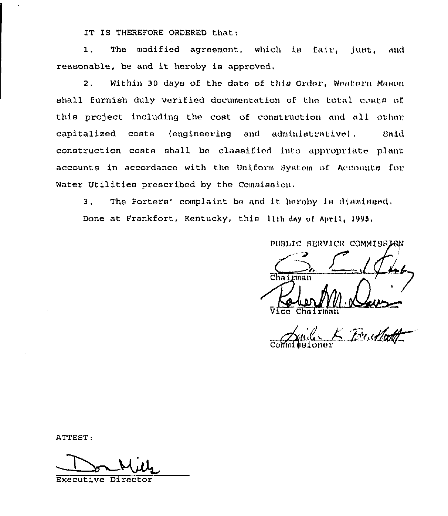IT IS THEREFORE ORDERED that;

1. The modified agreement, which is fair, just, and reasonable, be and it hereby is approved,

2. Within 30 days of the date of this Order, Western Mason shall furnish duly verified documentation of the total coata of this project including the cost of construction and all other capitalized costs (engineering and administrative), Said construction costs shall be classified into appropriate plant accounts in accordance with the Uniform System of Accounts for Water Utilities prescribed by the Commission.

3. The Porters' complaint be and it hereby is dismissed. Done at Frankfort, Kentucky, this lith day of April, 1995.

PUBLIC SERVICE COMMISSION

Chairman **AN** 

Commissioner Er, Alatt

ATTEST:

Executive Director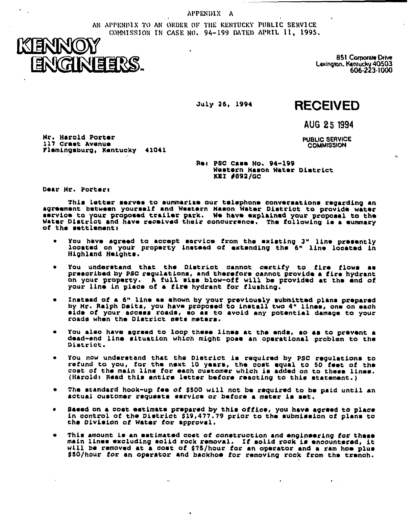APPENDIX A

AN APPENDIX TO AN ORDER OF THE KENTUCKY PUBLIC SERVICE COMMISSION IN CASE NO. 94-199 DATED APRIL 11, 1995.



851 Corporate Drive Lexington, Kentucky 40503<br>606-223-1000

 $\ddot{\phantom{a}}$ 

July 26, 1994

# **RECEIVED**

AUG 25 1994

**PUBLIC SERVICE COMMISSION** 

 $\bullet$  .  $\bullet$ 

Mr. Harold Porter 117 Crast Avenue Flemingsburg, Kentucky 41041

> Re: PSC Case No. 94-199 Western Hason Water District **KEI #892/GC**

Dear Hr. Porter:

This letter serves to summarize our telephone conversations regarding an agreement between yourself and Western Hason Water District to provide water service to your proposed trailer park. We have explained your proposal to the Water District and have received their concurrence. The following is a summary of the mettlement:

- You have agreed to accept mervice from the existing 3" line premently located on your property instead of extending the 6" line located in Highland Heightm.
- You understand that the District cannot certify to fire flows as prescribed by PSC regulations, and therefore cannot provide a fire hydrant on your property. A full size blow-off will be provided at the end of your line in place of a fire hydrant for flushing.
- Instead of a 6" line as shown by your previously submitted plans prepared<br>by Mr. Ralph Daits, you have proposed to install two 4" lines, one on each<br>aide of your access roads, so as to avoid any potential damage to your roads when the District sets meters.
- You also have agreed to loop these lines at the ends, so as to prevent a dead-end line situation which might pose an operational problem to the District.
- You now understand that the District is required by PSC regulations to refund to you, for the next 10 years, the cost equal to 50 feet of the cost of the main line for each customer which is added on to these lines. (Harold: Read this antire letter before reacting to this statement.)
- The standard hook-up fee of \$500 will not be required to be paid until an actual customer requests service or before a mater is set.
- Based on a cost estimate prepared by this office, you have agreed to place  $\bullet$ in control of the District \$19,477.79 prior to the submission of plans to the Division of Water for approval.
- This amount is an estimated cost of construction and engineering for these main lines excluding solid rock removal. If solid rock is encountered, it will be removed at a cost of 675/hour for an operator and a ram hom plus 650/hour for an operator and backhoe for removing rock from the trench.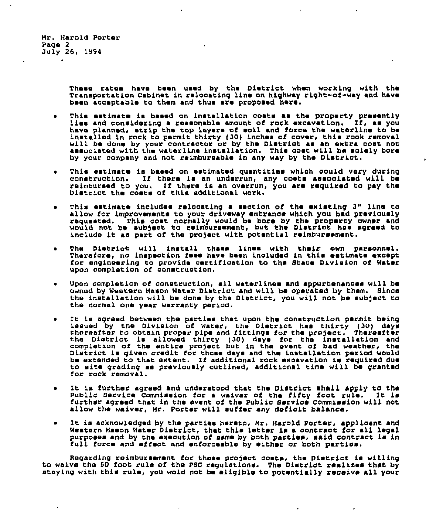Hr. Harold Porter Paqe 2 July 26, 1994

> These rates have been used by the Dietrict when working with the Transportation Cabinet in relocating line on highway right-of-way and have been acceptable to them and thus ars proposed hers.

> > $\mathbf{r}$

- This estimate is based on installation costs as the property presently<br>lies and considering a reasonable amount of rock excavation. If, as you have planned, strip the top layers of soil and force the waterline to be installed in rock to permit thirty (30) inches of cover, this rook removal will be done by your contractor or by the District as an extra cost not associated with the waterline installation. This cost will be solely bore by your company and not reimbursable in any way by the District.
- . This estimate is based on estimated quantities which could vary during construction. If there is an underrun, any costs associated will be reimbursed to you. If there is an overrun, you are required to pay the District the costs of this additional work.
- This estimate includes relocating a section of the existing 3" line to allow for improvements to your driveway entrance which you had previously requested. This cost normally would be bore by the property owner and<br>would not be subject to reimbursement, but the Diatrict has agreed to include it as part of the project with potential reimbursement.
- The District will install these lines with their own parsonnel. Therefore, no inspection fees have been included in this estimate except for engineering to provide certification to the State Division of Water upon completion af construction,
- Upon completion of construction, all waterlines and appurtenances will be awned by Western Hason Water District and will be operated by them. Since the installation will be done by the District, you will not be subject to the normal one year warranty period.
- It is agreed between the parties that upon the construction permit being issued by the Division of Water, the District has thirty (30) days thereafter to obtain proper pipe and fittings for the project. Thereafter the District is allowed thirty (30) days for the installation and completion of the entire project but in the event of bad weather, the District is given credit for those days and the installation period would District is given credit for those days and the installation period would be extended to that extent. If additional rock excavation is required due to site grading as previously outlined, additional time will be granted for rock removal.
- It is further agreed and understood that the District shall apply to the Public Service Commission for a waiver of the fifty foot rule. It is furthsr agreed that in the event of the Public Service Commission will not allow the waiver, Mr. Porter will suffer any deficit balance.
- It is acknowledged by the parties hereto, Mr. Harold Porter, applicant and Western Mason Water District, that this letter is a contract for all legal purposes and by the execution of same by both parties, said contract is in full force and effect and enforceable by either or both parties.

Regarding reimbursement for these project costs, the District is willing<br>to waive the 50 foot rule of the PSC regulations. The District realizes that by staying with this rule, you wold not be eligible to potentially receive all your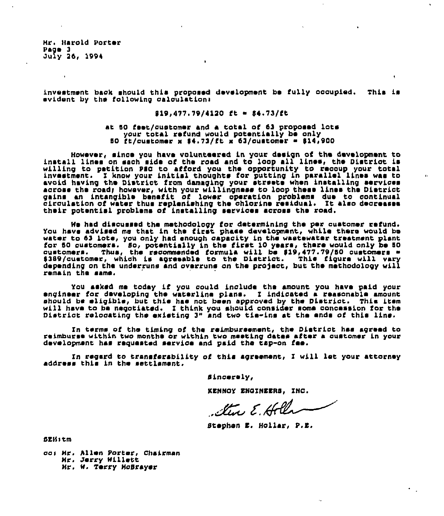Mr. Harold Porter Page 3  $Ju$ iv 26, 1994

investment back should this proposed development be fully occupied. This is evident by the following calculations

### $919.477.79/4120$  ft =  $54.73/ft$

#### at 50 feet/customer and a total of 63 proposed lots your total refund would potentially be only 50  $t$ t/customer x \$4.73/ft x 63/customer = \$14,900

However, since you have volunteered in your design of the development to install lines on sach side of the road and to loop all lines, the District is willing to petition PEC to afford you the opportunity to recoup your total<br>investment. I know your initial thoughts for putting in parallel lines was to<br>avoid having the District from damaging your streets when installing gains an intangible benefit of lower operation problems due to continual<br>circulation of water thus replanishing the chlorine residual. It also decreases their potential problems of installing sarvices across the road.

We had discussed the methodology for determining the per customer refund.<br>You have advised me that in the first phase development, while there would be water to 63 lote, you only had enough capacity in the wastewater treatment plant for 50 oustomers. So, potentially in the first 10 years, there would only be 50<br>customers. Thus, the recommended formula will be \$19,477.79/50 customers =<br>\$389/customer, which is agreeable to the District. This figure will remain the same.

You asked me today if you could include the amount you have paid your engineer for developing the waterline plans. I indicated a reasonable amount should be eligible, but this has not been approved by the District. This item will have to be negotiated. I think you should consider some concession for the District relocating the existing 3" and two tie-ins at the ends of this line.

In terms of the timing of the reimbursement, the District has agreed to reimburse within two months or within two meeting dates after a customer in your development has requested service and paid the tap-on fee.

In regard to transferability of this agreement, I will let your attorney address this in the settlement.

Sincerely,

KENNOY ENGINEERS. INC.

Steve E. Holla

 $\ddot{\phantom{a}}$ 

Stephen E. Hollar, P.E.

**SEH**stm

co: Mr. Allen Porter, Chairman Mr. Jerry Willett Mr. W. Terry McBrayer